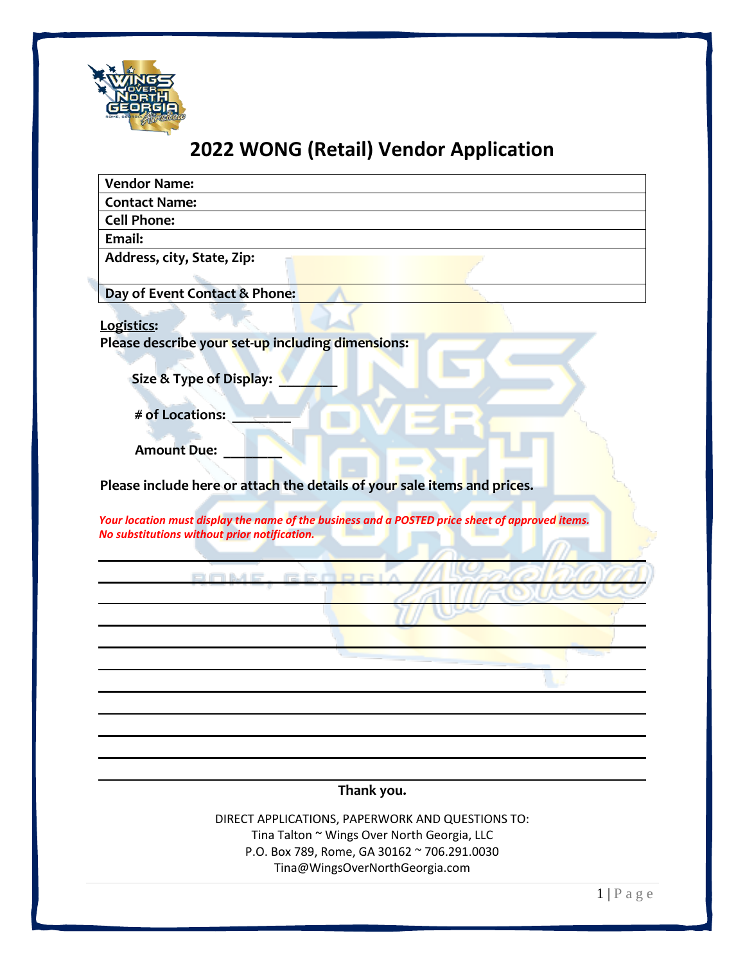

# **2022 WONG (Retail) Vendor Application**

| <b>Vendor Name:</b>                                                                                                                             |
|-------------------------------------------------------------------------------------------------------------------------------------------------|
| <b>Contact Name:</b>                                                                                                                            |
| <b>Cell Phone:</b>                                                                                                                              |
| Email:                                                                                                                                          |
| Address, city, State, Zip:                                                                                                                      |
| Day of Event Contact & Phone:                                                                                                                   |
| Logistics:<br>Please describe your set-up including dimensions:<br>Size & Type of Display:                                                      |
| # of Locations:                                                                                                                                 |
| <b>Amount Due:</b>                                                                                                                              |
| Please include here or attach the details of your sale items and prices.                                                                        |
| Your location must display the name of the business and a POSTED price sheet of approved items.<br>No substitutions without prior notification. |
| DOME GEODRI                                                                                                                                     |
|                                                                                                                                                 |
|                                                                                                                                                 |
|                                                                                                                                                 |
|                                                                                                                                                 |
|                                                                                                                                                 |
|                                                                                                                                                 |
|                                                                                                                                                 |
| Thank you.                                                                                                                                      |
| DIRECT APPLICATIONS, PAPERWORK AND QUESTIONS TO:                                                                                                |
| Tina Talton ~ Wings Over North Georgia, LLC                                                                                                     |
| P.O. Box 789, Rome, GA 30162 ~ 706.291.0030                                                                                                     |
| Tina@WingsOverNorthGeorgia.com                                                                                                                  |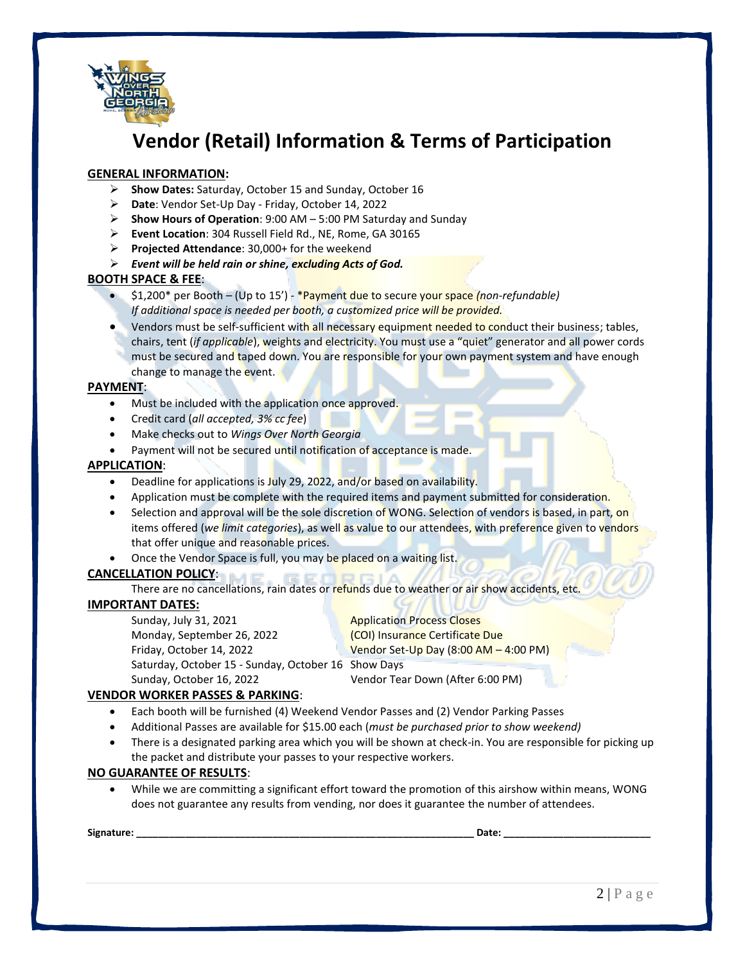

# **Vendor (Retail) Information & Terms of Participation**

### **GENERAL INFORMATION:**

- ➢ **Show Dates:** Saturday, October 15 and Sunday, October 16
- ➢ **Date**: Vendor Set-Up Day Friday, October 14, 2022
- ➢ **Show Hours of Operation**: 9:00 AM 5:00 PM Saturday and Sunday
- ➢ **Event Location**: 304 Russell Field Rd., NE, Rome, GA 30165
- ➢ **Projected Attendance**: 30,000+ for the weekend
- ➢ *Event will be held rain or shine, excluding Acts of God.*

#### **BOOTH SPACE & FEE**:

- \$1,200\* per Booth (Up to 15') \*Payment due to secure your space *(non-refundable) If additional space is needed per booth, a customized price will be provided.*
- Vendors must be self-sufficient with all necessary equipment needed to conduct their business; tables, chairs, tent (*if applicable*), weights and electricity. You must use a "quiet" generator and all power cords must be secured and taped down. You are responsible for your own payment system and have enough change to manage the event.

#### **PAYMENT**:

- Must be included with the application once approved.
- Credit card (*all accepted, 3% cc fee*)
- Make checks out to *Wings Over North Georgia*
- Payment will not be secured until notification of acceptance is made.

#### **APPLICATION**:

- Deadline for applications is July 29, 2022, and/or based on availability.
- Application must be complete with the required items and payment submitted for consideration.
- Selection and approval will be the sole discretion of WONG. Selection of vendors is based, in part, on items offered (*we limit categories*), as well as value to our attendees, with preference given to vendors that offer unique and reasonable prices.
- Once the Vendor Space is full, you may be placed on a waiting list.

## **CANCELLATION POLICY**:

There are no cancellations, rain dates or refunds due to weather or air show accidents, etc.

#### **IMPORTANT DATES:**

Sunday, July 31, 2021 **Application Process Closes** Monday, September 26, 2022 **(COI)** Insurance Certificate Due Friday, October 14, 2022 Vendor Set-Up Day (8:00 AM – 4:00 PM) Saturday, October 15 - Sunday, October 16 Show Days

Sunday, October 16, 2022 Vendor Tear Down (After 6:00 PM)

## **VENDOR WORKER PASSES & PARKING**:

- Each booth will be furnished (4) Weekend Vendor Passes and (2) Vendor Parking Passes
- Additional Passes are available for \$15.00 each (*must be purchased prior to show weekend)*
- There is a designated parking area which you will be shown at check-in. You are responsible for picking up the packet and distribute your passes to your respective workers.

#### **NO GUARANTEE OF RESULTS**:

• While we are committing a significant effort toward the promotion of this airshow within means, WONG does not guarantee any results from vending, nor does it guarantee the number of attendees.

**Signature: \_\_\_\_\_\_\_\_\_\_\_\_\_\_\_\_\_\_\_\_\_\_\_\_\_\_\_\_\_\_\_\_\_\_\_\_\_\_\_\_\_\_\_\_\_\_\_\_\_\_\_\_\_\_\_\_\_\_\_\_\_\_ Date: \_\_\_\_\_\_\_\_\_\_\_\_\_\_\_\_\_\_\_\_\_\_\_\_\_\_\_**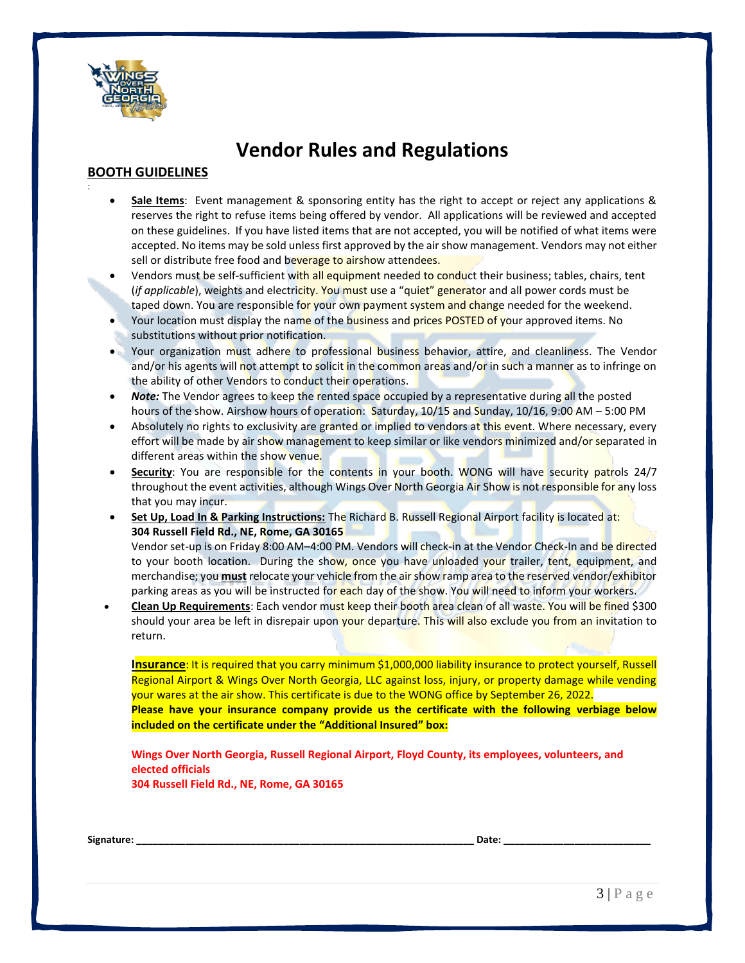

:

# **Vendor Rules and Regulations**

## **BOOTH GUIDELINES**

- **Sale Items**: Event management & sponsoring entity has the right to accept or reject any applications & reserves the right to refuse items being offered by vendor. All applications will be reviewed and accepted on these guidelines. If you have listed items that are not accepted, you will be notified of what items were accepted. No items may be sold unless first approved by the air show management. Vendors may not either sell or distribute free food and beverage to airshow attendees.
- Vendors must be self-sufficient with all equipment needed to conduct their business; tables, chairs, tent (*if applicable*), weights and electricity. You must use a "quiet" generator and all power cords must be taped down. You are responsible for your own payment system and change needed for the weekend.
- Your location must display the name of the business and prices POSTED of your approved items. No substitutions without prior notification.
- Your organization must adhere to professional business behavior, attire, and cleanliness. The Vendor and/or his agents will not attempt to solicit in the common areas and/or in such a manner as to infringe on the ability of other Vendors to conduct their operations.
- *Note:* The Vendor agrees to keep the rented space occupied by a representative during all the posted hours of the show. Airshow hours of operation: Saturday, 10/15 and Sunday, 10/16, 9:00 AM – 5:00 PM
- Absolutely no rights to exclusivity are granted or implied to vendors at this event. Where necessary, every effort will be made by air show management to keep similar or like vendors minimized and/or separated in different areas within the show venue.
- **Security**: You are responsible for the contents in your booth. WONG will have security patrols 24/7 throughout the event activities, although Wings Over North Georgia Air Show is not responsible for any loss that you may incur.
- **Set Up, Load In & Parking Instructions:** The Richard B. Russell Regional Airport facility is located at: **304 Russell Field Rd., NE, Rome, GA 30165**

Vendor set-up is on Friday 8:00 AM-4:00 PM. Vendors will check-in at the Vendor Check-In and be directed to your booth location. During the show, once you have unloaded your trailer, tent, equipment, and merchandise; you **must** relocate your vehicle from the air show ramp area to the reserved vendor/exhibitor parking areas as you will be instructed for each day of the show. You will need to inform your workers.

• **Clean Up Requirements**: Each vendor must keep their booth area clean of all waste. You will be fined \$300 should your area be left in disrepair upon your departure. This will also exclude you from an invitation to return.

**Insurance**: It is required that you carry minimum \$1,000,000 liability insurance to protect yourself, Russell Regional Airport & Wings Over North Georgia, LLC against loss, injury, or property damage while vending your wares at the air show. This certificate is due to the WONG office by September 26, 2022. **Please have your insurance company provide us the certificate with the following verbiage below included on the certificate under the "Additional Insured" box:**

**Wings Over North Georgia, Russell Regional Airport, Floyd County, its employees, volunteers, and elected officials 304 Russell Field Rd., NE, Rome, GA 30165**

| Signature: | Date |  |
|------------|------|--|
|            |      |  |